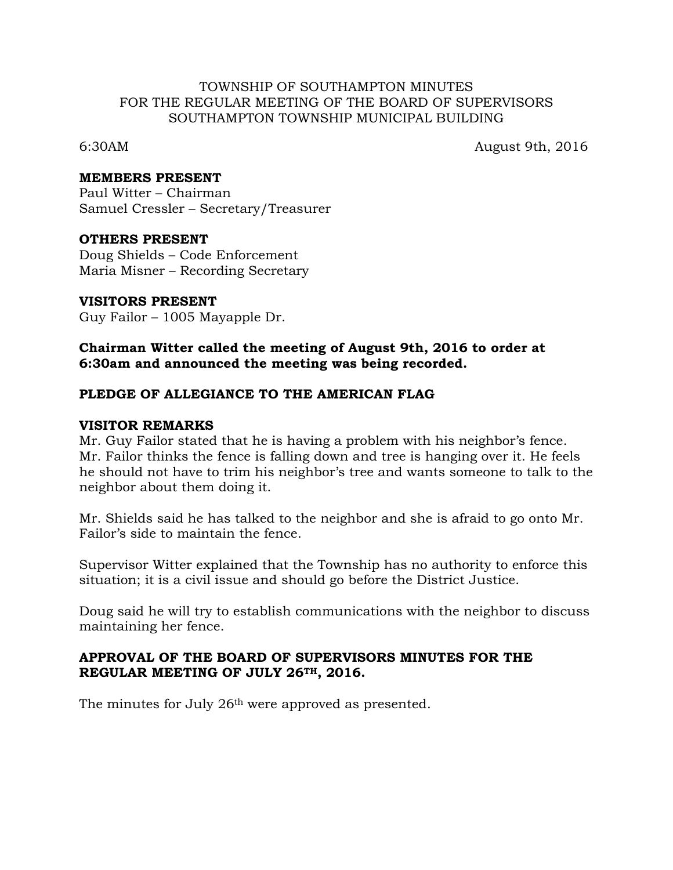## TOWNSHIP OF SOUTHAMPTON MINUTES FOR THE REGULAR MEETING OF THE BOARD OF SUPERVISORS SOUTHAMPTON TOWNSHIP MUNICIPAL BUILDING

6:30AM August 9th, 2016

#### **MEMBERS PRESENT**

Paul Witter – Chairman Samuel Cressler – Secretary/Treasurer

### **OTHERS PRESENT**

Doug Shields – Code Enforcement Maria Misner – Recording Secretary

### **VISITORS PRESENT**

Guy Failor – 1005 Mayapple Dr.

## **Chairman Witter called the meeting of August 9th, 2016 to order at 6:30am and announced the meeting was being recorded.**

# **PLEDGE OF ALLEGIANCE TO THE AMERICAN FLAG**

#### **VISITOR REMARKS**

Mr. Guy Failor stated that he is having a problem with his neighbor's fence. Mr. Failor thinks the fence is falling down and tree is hanging over it. He feels he should not have to trim his neighbor's tree and wants someone to talk to the neighbor about them doing it.

Mr. Shields said he has talked to the neighbor and she is afraid to go onto Mr. Failor's side to maintain the fence.

Supervisor Witter explained that the Township has no authority to enforce this situation; it is a civil issue and should go before the District Justice.

Doug said he will try to establish communications with the neighbor to discuss maintaining her fence.

# **APPROVAL OF THE BOARD OF SUPERVISORS MINUTES FOR THE REGULAR MEETING OF JULY 26TH, 2016.**

The minutes for July 26<sup>th</sup> were approved as presented.